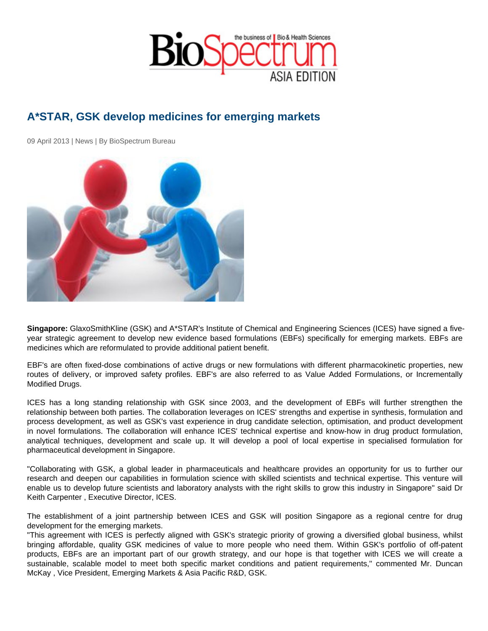## A\*STAR, GSK develop medicines for emerging markets

09 April 2013 | News | By BioSpectrum Bureau

Singapore: GlaxoSmithKline (GSK) and A\*STAR's Institute of Chemical and Engineering Sciences (ICES) have signed a fiveyear strategic agreement to develop new evidence based formulations (EBFs) specifically for emerging markets. EBFs are medicines which are reformulated to provide additional patient benefit.

EBF's are often fixed-dose combinations of active drugs or new formulations with different pharmacokinetic properties, new routes of delivery, or improved safety profiles. EBF's are also referred to as Value Added Formulations, or Incrementally Modified Drugs.

ICES has a long standing relationship with GSK since 2003, and the development of EBFs will further strengthen the relationship between both parties. The collaboration leverages on ICES' strengths and expertise in synthesis, formulation and process development, as well as GSK's vast experience in drug candidate selection, optimisation, and product development in novel formulations. The collaboration will enhance ICES' technical expertise and know-how in drug product formulation, analytical techniques, development and scale up. It will develop a pool of local expertise in specialised formulation for pharmaceutical development in Singapore.

"Collaborating with GSK, a global leader in pharmaceuticals and healthcare provides an opportunity for us to further our research and deepen our capabilities in formulation science with skilled scientists and technical expertise. This venture will enable us to develop future scientists and laboratory analysts with the right skills to grow this industry in Singapore" said Dr Keith Carpenter , Executive Director, ICES.

The establishment of a joint partnership between ICES and GSK will position Singapore as a regional centre for drug development for the emerging markets.

"This agreement with ICES is perfectly aligned with GSK's strategic priority of growing a diversified global business, whilst bringing affordable, quality GSK medicines of value to more people who need them. Within GSK's portfolio of off-patent products, EBFs are an important part of our growth strategy, and our hope is that together with ICES we will create a sustainable, scalable model to meet both specific market conditions and patient requirements," commented Mr. Duncan McKay , Vice President, Emerging Markets & Asia Pacific R&D, GSK.